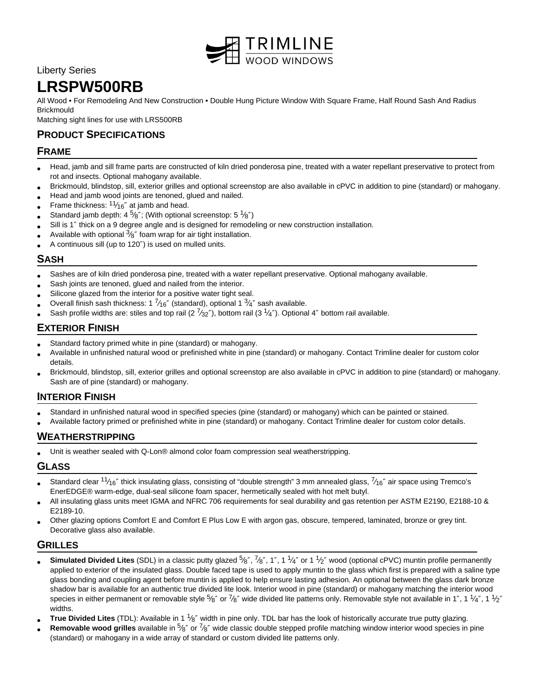

Liberty Series

# **LRSPW500RB**

All Wood • For Remodeling And New Construction • Double Hung Picture Window With Square Frame, Half Round Sash And Radius **Brickmould** 

Matching sight lines for use with LRS500RB

# **PRODUCT SPECIFICATIONS**

## **FRAME**

- Head, jamb and sill frame parts are constructed of kiln dried ponderosa pine, treated with a water repellant preservative to protect from rot and insects. Optional mahogany available.
- Brickmould, blindstop, sill, exterior grilles and optional screenstop are also available in cPVC in addition to pine (standard) or mahogany.
- Head and jamb wood joints are tenoned, glued and nailed.
- Frame thickness:  $11/16''$  at jamb and head.
- Standard jamb depth: 4  $\frac{5}{8}$ "; (With optional screenstop: 5  $\frac{1}{8}$ ")
- Sill is 1″ thick on a 9 degree angle and is designed for remodeling or new construction installation.
- Available with optional  $3/8$ " foam wrap for air tight installation.
- A continuous sill (up to 120″) is used on mulled units.

#### **SASH**

- Sashes are of kiln dried ponderosa pine, treated with a water repellant preservative. Optional mahogany available.
- Sash joints are tenoned, glued and nailed from the interior.
- Silicone glazed from the interior for a positive water tight seal.
- Overall finish sash thickness: 1  $\frac{7}{16}$ " (standard), optional 1  $\frac{3}{4}$ " sash available.
- Sash profile widths are: stiles and top rail (2  $\frac{7}{32}$ "), bottom rail (3  $\frac{1}{4}$ "). Optional 4" bottom rail available.

## **EXTERIOR FINISH**

- Standard factory primed white in pine (standard) or mahogany.
- Available in unfinished natural wood or prefinished white in pine (standard) or mahogany. Contact Trimline dealer for custom color details.
- Brickmould, blindstop, sill, exterior grilles and optional screenstop are also available in cPVC in addition to pine (standard) or mahogany. Sash are of pine (standard) or mahogany.

## **INTERIOR FINISH**

- Standard in unfinished natural wood in specified species (pine (standard) or mahogany) which can be painted or stained.
- Available factory primed or prefinished white in pine (standard) or mahogany. Contact Trimline dealer for custom color details.

#### **WEATHERSTRIPPING**

• Unit is weather sealed with Q-Lon® almond color foam compression seal weatherstripping.

#### **GLASS**

- Standard clear  $11/16''$  thick insulating glass, consisting of "double strength" 3 mm annealed glass,  $7/16''$  air space using Tremco's EnerEDGE® warm-edge, dual-seal silicone foam spacer, hermetically sealed with hot melt butyl.
- All insulating glass units meet IGMA and NFRC 706 requirements for seal durability and gas retention per ASTM E2190, E2188-10 & E2189-10.
- Other glazing options Comfort E and Comfort E Plus Low E with argon gas, obscure, tempered, laminated, bronze or grey tint. Decorative glass also available.

#### **GRILLES**

- Simulated Divided Lites (SDL) in a classic putty glazed 5<sup>k</sup> 7%", 1", 1 1/4" or 1 <sup>1</sup>/2" wood (optional cPVC) muntin profile permanently applied to exterior of the insulated glass. Double faced tape is used to apply muntin to the glass which first is prepared with a saline type glass bonding and coupling agent before muntin is applied to help ensure lasting adhesion. An optional between the glass dark bronze shadow bar is available for an authentic true divided lite look. Interior wood in pine (standard) or mahogany matching the interior wood species in either permanent or removable style  $^5\!\!8''$  or  $^7\!\!8''$  wide divided lite patterns only. Removable style not available in 1", 1  $^1\!\!4''$ , 1  $^1\!\!2''$ widths.
- **True Divided Lites** (TDL): Available in 1 <sup>1</sup>/8" width in pine only. TDL bar has the look of historically accurate true putty glazing.
- **Removable wood grilles** available in 5<sup>6</sup> or <sup>7</sup>/8" wide classic double stepped profile matching window interior wood species in pine (standard) or mahogany in a wide array of standard or custom divided lite patterns only.